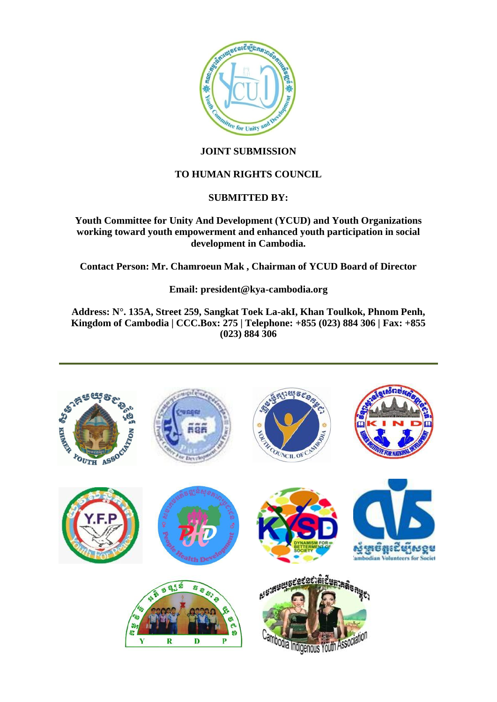

# **JOINT SUBMISSION**

# **TO HUMAN RIGHTS COUNCIL**

# **SUBMITTED BY:**

**Youth Committee for Unity And Development (YCUD) and Youth Organizations working toward youth empowerment and enhanced youth participation in social development in Cambodia.** 

**Contact Person: Mr. Chamroeun Mak , Chairman of YCUD Board of Director** 

**Email: president@kya-cambodia.org** 

**Address: N°. 135A, Street 259, Sangkat Toek La-akI, Khan Toulkok, Phnom Penh, Kingdom of Cambodia | CCC.Box: 275 | Telephone: +855 (023) 884 306 | Fax: +855 (023) 884 306**

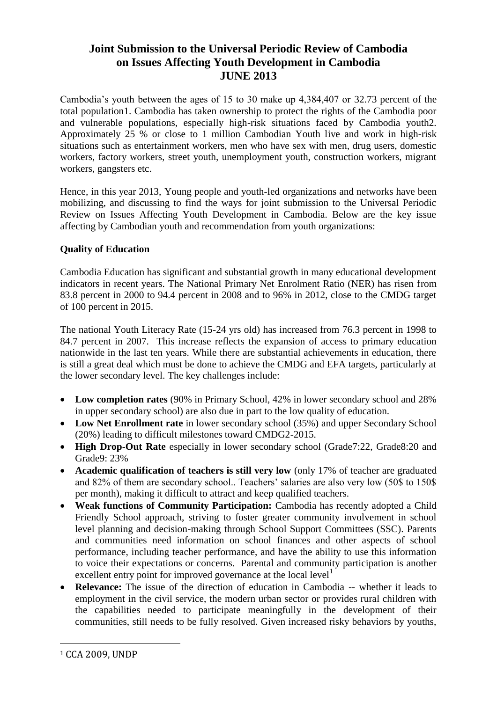# **Joint Submission to the Universal Periodic Review of Cambodia on Issues Affecting Youth Development in Cambodia JUNE 2013**

Cambodia's youth between the ages of 15 to 30 make up 4,384,407 or 32.73 percent of the total population1. Cambodia has taken ownership to protect the rights of the Cambodia poor and vulnerable populations, especially high-risk situations faced by Cambodia youth2. Approximately 25 % or close to 1 million Cambodian Youth live and work in high-risk situations such as entertainment workers, men who have sex with men, drug users, domestic workers, factory workers, street youth, unemployment youth, construction workers, migrant workers, gangsters etc.

Hence, in this year 2013, Young people and youth-led organizations and networks have been mobilizing, and discussing to find the ways for joint submission to the Universal Periodic Review on Issues Affecting Youth Development in Cambodia. Below are the key issue affecting by Cambodian youth and recommendation from youth organizations:

# **Quality of Education**

Cambodia Education has significant and substantial growth in many educational development indicators in recent years. The National Primary Net Enrolment Ratio (NER) has risen from 83.8 percent in 2000 to 94.4 percent in 2008 and to 96% in 2012, close to the CMDG target of 100 percent in 2015.

The national Youth Literacy Rate (15-24 yrs old) has increased from 76.3 percent in 1998 to 84.7 percent in 2007. This increase reflects the expansion of access to primary education nationwide in the last ten years. While there are substantial achievements in education, there is still a great deal which must be done to achieve the CMDG and EFA targets, particularly at the lower secondary level. The key challenges include:

- **Low completion rates** (90% in Primary School, 42% in lower secondary school and 28% in upper secondary school) are also due in part to the low quality of education.
- **Low Net Enrollment rate** in lower secondary school (35%) and upper Secondary School (20%) leading to difficult milestones toward CMDG2-2015.
- **High Drop-Out Rate** especially in lower secondary school (Grade7:22, Grade8:20 and Grade9: 23%
- **Academic qualification of teachers is still very low** (only 17% of teacher are graduated and 82% of them are secondary school.. Teachers' salaries are also very low (50\$ to 150\$ per month), making it difficult to attract and keep qualified teachers.
- **Weak functions of Community Participation:** Cambodia has recently adopted a Child Friendly School approach, striving to foster greater community involvement in school level planning and decision-making through School Support Committees (SSC). Parents and communities need information on school finances and other aspects of school performance, including teacher performance, and have the ability to use this information to voice their expectations or concerns. Parental and community participation is another excellent entry point for improved governance at the local level<sup>1</sup>
- **Relevance:** The issue of the direction of education in Cambodia -- whether it leads to employment in the civil service, the modern urban sector or provides rural children with the capabilities needed to participate meaningfully in the development of their communities, still needs to be fully resolved. Given increased risky behaviors by youths,

<u>.</u>

<sup>1</sup> CCA 2009, UNDP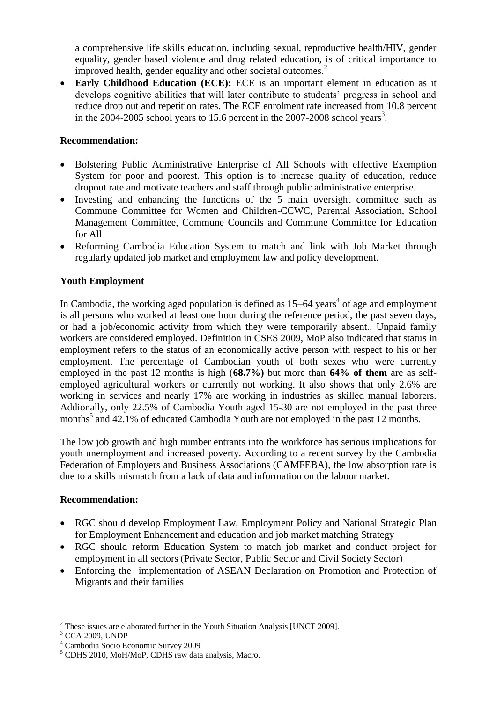a comprehensive life skills education, including sexual, reproductive health/HIV, gender equality, gender based violence and drug related education, is of critical importance to improved health, gender equality and other societal outcomes.<sup>2</sup>

 **Early Childhood Education (ECE):** ECE is an important element in education as it develops cognitive abilities that will later contribute to students' progress in school and reduce drop out and repetition rates. The ECE enrolment rate increased from 10.8 percent in the  $2004$ -2005 school years to 15.6 percent in the  $2007$ -2008 school years<sup>3</sup>.

### **Recommendation:**

- Bolstering Public Administrative Enterprise of All Schools with effective Exemption System for poor and poorest. This option is to increase quality of education, reduce dropout rate and motivate teachers and staff through public administrative enterprise.
- Investing and enhancing the functions of the 5 main oversight committee such as Commune Committee for Women and Children-CCWC, Parental Association, School Management Committee, Commune Councils and Commune Committee for Education for All
- Reforming Cambodia Education System to match and link with Job Market through regularly updated job market and employment law and policy development.

### **Youth Employment**

In Cambodia, the working aged population is defined as  $15-64$  years<sup>4</sup> of age and employment is all persons who worked at least one hour during the reference period, the past seven days, or had a job/economic activity from which they were temporarily absent.. Unpaid family workers are considered employed. Definition in CSES 2009, MoP also indicated that status in employment refers to the status of an economically active person with respect to his or her employment. The percentage of Cambodian youth of both sexes who were currently employed in the past 12 months is high (**68.7%)** but more than **64% of them** are as selfemployed agricultural workers or currently not working. It also shows that only 2.6% are working in services and nearly 17% are working in industries as skilled manual laborers. Addionally, only 22.5% of Cambodia Youth aged 15-30 are not employed in the past three months<sup>5</sup> and 42.1% of educated Cambodia Youth are not employed in the past 12 months.

The low job growth and high number entrants into the workforce has serious implications for youth unemployment and increased poverty. According to a recent survey by the Cambodia Federation of Employers and Business Associations (CAMFEBA), the low absorption rate is due to a skills mismatch from a lack of data and information on the labour market.

#### **Recommendation:**

- RGC should develop Employment Law, Employment Policy and National Strategic Plan for Employment Enhancement and education and job market matching Strategy
- RGC should reform Education System to match job market and conduct project for employment in all sectors (Private Sector, Public Sector and Civil Society Sector)
- Enforcing the implementation of ASEAN Declaration on Promotion and Protection of Migrants and their families

<sup>&</sup>lt;u>.</u>  $2$  These issues are elaborated further in the Youth Situation Analysis [UNCT 2009].

<sup>&</sup>lt;sup>3</sup> CCA 2009, UNDP

<sup>4</sup> Cambodia Socio Economic Survey 2009

<sup>5</sup> CDHS 2010, MoH/MoP, CDHS raw data analysis, Macro.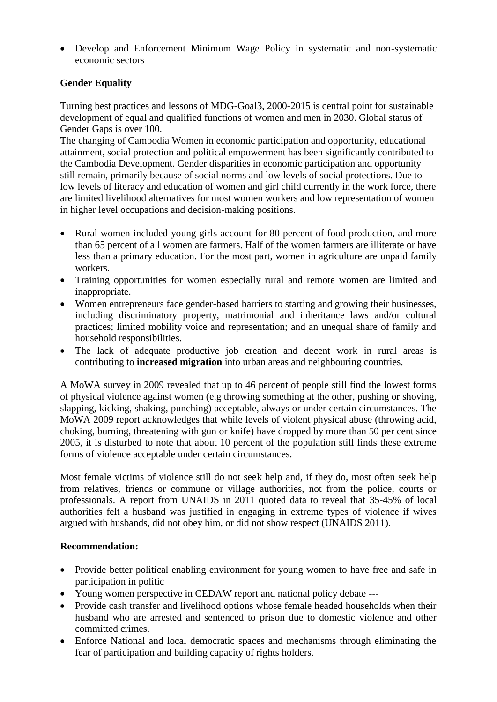Develop and Enforcement Minimum Wage Policy in systematic and non-systematic economic sectors

# **Gender Equality**

Turning best practices and lessons of MDG-Goal3, 2000-2015 is central point for sustainable development of equal and qualified functions of women and men in 2030. Global status of Gender Gaps is over 100.

The changing of Cambodia Women in economic participation and opportunity, educational attainment, social protection and political empowerment has been significantly contributed to the Cambodia Development. Gender disparities in economic participation and opportunity still remain, primarily because of social norms and low levels of social protections. Due to low levels of literacy and education of women and girl child currently in the work force, there are limited livelihood alternatives for most women workers and low representation of women in higher level occupations and decision-making positions.

- Rural women included young girls account for 80 percent of food production, and more than 65 percent of all women are farmers. Half of the women farmers are illiterate or have less than a primary education. For the most part, women in agriculture are unpaid family workers.
- Training opportunities for women especially rural and remote women are limited and inappropriate.
- Women entrepreneurs face gender-based barriers to starting and growing their businesses, including discriminatory property, matrimonial and inheritance laws and/or cultural practices; limited mobility voice and representation; and an unequal share of family and household responsibilities.
- The lack of adequate productive job creation and decent work in rural areas is contributing to **increased migration** into urban areas and neighbouring countries.

A MoWA survey in 2009 revealed that up to 46 percent of people still find the lowest forms of physical violence against women (e.g throwing something at the other, pushing or shoving, slapping, kicking, shaking, punching) acceptable, always or under certain circumstances. The MoWA 2009 report acknowledges that while levels of violent physical abuse (throwing acid, choking, burning, threatening with gun or knife) have dropped by more than 50 per cent since 2005, it is disturbed to note that about 10 percent of the population still finds these extreme forms of violence acceptable under certain circumstances.

Most female victims of violence still do not seek help and, if they do, most often seek help from relatives, friends or commune or village authorities, not from the police, courts or professionals. A report from UNAIDS in 2011 quoted data to reveal that 35-45% of local authorities felt a husband was justified in engaging in extreme types of violence if wives argued with husbands, did not obey him, or did not show respect (UNAIDS 2011).

#### **Recommendation:**

- Provide better political enabling environment for young women to have free and safe in participation in politic
- Young women perspective in CEDAW report and national policy debate ---
- Provide cash transfer and livelihood options whose female headed households when their husband who are arrested and sentenced to prison due to domestic violence and other committed crimes.
- Enforce National and local democratic spaces and mechanisms through eliminating the fear of participation and building capacity of rights holders.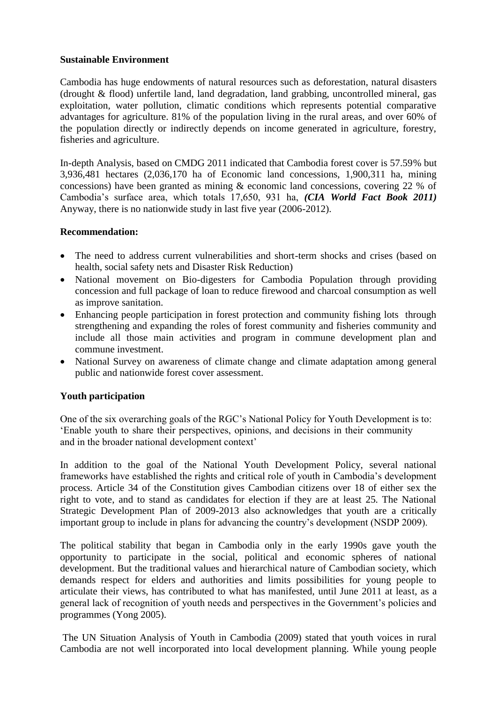### **Sustainable Environment**

Cambodia has huge endowments of natural resources such as deforestation, natural disasters (drought & flood) unfertile land, land degradation, land grabbing, uncontrolled mineral, gas exploitation, water pollution, climatic conditions which represents potential comparative advantages for agriculture. 81% of the population living in the rural areas, and over 60% of the population directly or indirectly depends on income generated in agriculture, forestry, fisheries and agriculture.

In-depth Analysis, based on CMDG 2011 indicated that Cambodia forest cover is 57.59% but 3,936,481 hectares (2,036,170 ha of Economic land concessions, 1,900,311 ha, mining concessions) have been granted as mining & economic land concessions, covering 22 % of Cambodia's surface area, which totals 17,650, 931 ha, *(CIA World Fact Book 2011)* Anyway, there is no nationwide study in last five year (2006-2012).

### **Recommendation:**

- The need to address current vulnerabilities and short-term shocks and crises (based on health, social safety nets and Disaster Risk Reduction)
- National movement on Bio-digesters for Cambodia Population through providing concession and full package of loan to reduce firewood and charcoal consumption as well as improve sanitation.
- Enhancing people participation in forest protection and community fishing lots through strengthening and expanding the roles of forest community and fisheries community and include all those main activities and program in commune development plan and commune investment.
- National Survey on awareness of climate change and climate adaptation among general public and nationwide forest cover assessment.

### **Youth participation**

One of the six overarching goals of the RGC's National Policy for Youth Development is to: 'Enable youth to share their perspectives, opinions, and decisions in their community and in the broader national development context'

In addition to the goal of the National Youth Development Policy, several national frameworks have established the rights and critical role of youth in Cambodia's development process. Article 34 of the Constitution gives Cambodian citizens over 18 of either sex the right to vote, and to stand as candidates for election if they are at least 25. The National Strategic Development Plan of 2009-2013 also acknowledges that youth are a critically important group to include in plans for advancing the country's development (NSDP 2009).

The political stability that began in Cambodia only in the early 1990s gave youth the opportunity to participate in the social, political and economic spheres of national development. But the traditional values and hierarchical nature of Cambodian society, which demands respect for elders and authorities and limits possibilities for young people to articulate their views, has contributed to what has manifested, until June 2011 at least, as a general lack of recognition of youth needs and perspectives in the Government's policies and programmes (Yong 2005).

The UN Situation Analysis of Youth in Cambodia (2009) stated that youth voices in rural Cambodia are not well incorporated into local development planning. While young people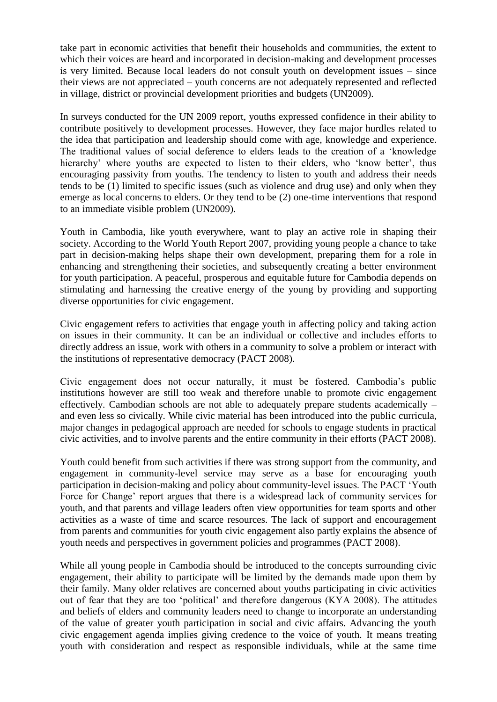take part in economic activities that benefit their households and communities, the extent to which their voices are heard and incorporated in decision-making and development processes is very limited. Because local leaders do not consult youth on development issues – since their views are not appreciated – youth concerns are not adequately represented and reflected in village, district or provincial development priorities and budgets (UN2009).

In surveys conducted for the UN 2009 report, youths expressed confidence in their ability to contribute positively to development processes. However, they face major hurdles related to the idea that participation and leadership should come with age, knowledge and experience. The traditional values of social deference to elders leads to the creation of a 'knowledge hierarchy' where youths are expected to listen to their elders, who 'know better', thus encouraging passivity from youths. The tendency to listen to youth and address their needs tends to be (1) limited to specific issues (such as violence and drug use) and only when they emerge as local concerns to elders. Or they tend to be (2) one-time interventions that respond to an immediate visible problem (UN2009).

Youth in Cambodia, like youth everywhere, want to play an active role in shaping their society. According to the World Youth Report 2007, providing young people a chance to take part in decision-making helps shape their own development, preparing them for a role in enhancing and strengthening their societies, and subsequently creating a better environment for youth participation. A peaceful, prosperous and equitable future for Cambodia depends on stimulating and harnessing the creative energy of the young by providing and supporting diverse opportunities for civic engagement.

Civic engagement refers to activities that engage youth in affecting policy and taking action on issues in their community. It can be an individual or collective and includes efforts to directly address an issue, work with others in a community to solve a problem or interact with the institutions of representative democracy (PACT 2008).

Civic engagement does not occur naturally, it must be fostered. Cambodia's public institutions however are still too weak and therefore unable to promote civic engagement effectively. Cambodian schools are not able to adequately prepare students academically – and even less so civically. While civic material has been introduced into the public curricula, major changes in pedagogical approach are needed for schools to engage students in practical civic activities, and to involve parents and the entire community in their efforts (PACT 2008).

Youth could benefit from such activities if there was strong support from the community, and engagement in community-level service may serve as a base for encouraging youth participation in decision-making and policy about community-level issues. The PACT 'Youth Force for Change' report argues that there is a widespread lack of community services for youth, and that parents and village leaders often view opportunities for team sports and other activities as a waste of time and scarce resources. The lack of support and encouragement from parents and communities for youth civic engagement also partly explains the absence of youth needs and perspectives in government policies and programmes (PACT 2008).

While all young people in Cambodia should be introduced to the concepts surrounding civic engagement, their ability to participate will be limited by the demands made upon them by their family. Many older relatives are concerned about youths participating in civic activities out of fear that they are too 'political' and therefore dangerous (KYA 2008). The attitudes and beliefs of elders and community leaders need to change to incorporate an understanding of the value of greater youth participation in social and civic affairs. Advancing the youth civic engagement agenda implies giving credence to the voice of youth. It means treating youth with consideration and respect as responsible individuals, while at the same time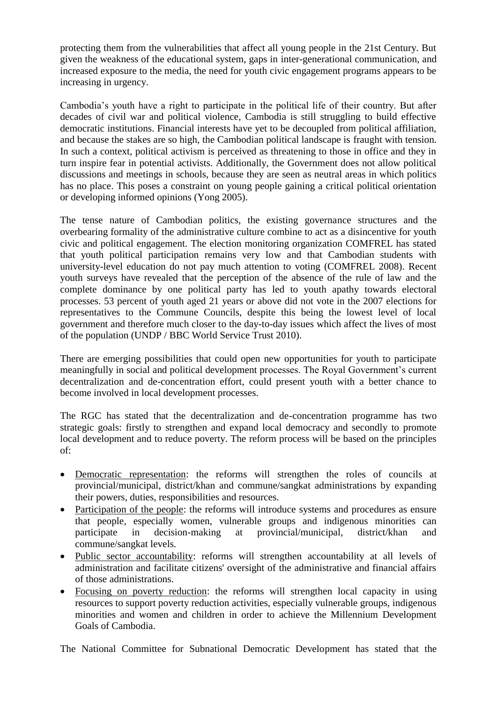protecting them from the vulnerabilities that affect all young people in the 21st Century. But given the weakness of the educational system, gaps in inter-generational communication, and increased exposure to the media, the need for youth civic engagement programs appears to be increasing in urgency.

Cambodia's youth have a right to participate in the political life of their country. But after decades of civil war and political violence, Cambodia is still struggling to build effective democratic institutions. Financial interests have yet to be decoupled from political affiliation, and because the stakes are so high, the Cambodian political landscape is fraught with tension. In such a context, political activism is perceived as threatening to those in office and they in turn inspire fear in potential activists. Additionally, the Government does not allow political discussions and meetings in schools, because they are seen as neutral areas in which politics has no place. This poses a constraint on young people gaining a critical political orientation or developing informed opinions (Yong 2005).

The tense nature of Cambodian politics, the existing governance structures and the overbearing formality of the administrative culture combine to act as a disincentive for youth civic and political engagement. The election monitoring organization COMFREL has stated that youth political participation remains very low and that Cambodian students with university-level education do not pay much attention to voting (COMFREL 2008). Recent youth surveys have revealed that the perception of the absence of the rule of law and the complete dominance by one political party has led to youth apathy towards electoral processes. 53 percent of youth aged 21 years or above did not vote in the 2007 elections for representatives to the Commune Councils, despite this being the lowest level of local government and therefore much closer to the day-to-day issues which affect the lives of most of the population (UNDP / BBC World Service Trust 2010).

There are emerging possibilities that could open new opportunities for youth to participate meaningfully in social and political development processes. The Royal Government's current decentralization and de-concentration effort, could present youth with a better chance to become involved in local development processes.

The RGC has stated that the decentralization and de-concentration programme has two strategic goals: firstly to strengthen and expand local democracy and secondly to promote local development and to reduce poverty. The reform process will be based on the principles of:

- Democratic representation: the reforms will strengthen the roles of councils at provincial/municipal, district/khan and commune/sangkat administrations by expanding their powers, duties, responsibilities and resources.
- Participation of the people: the reforms will introduce systems and procedures as ensure that people, especially women, vulnerable groups and indigenous minorities can participate in decision-making at provincial/municipal, district/khan and commune/sangkat levels.
- Public sector accountability: reforms will strengthen accountability at all levels of administration and facilitate citizens' oversight of the administrative and financial affairs of those administrations.
- Focusing on poverty reduction: the reforms will strengthen local capacity in using resources to support poverty reduction activities, especially vulnerable groups, indigenous minorities and women and children in order to achieve the Millennium Development Goals of Cambodia.

The National Committee for Subnational Democratic Development has stated that the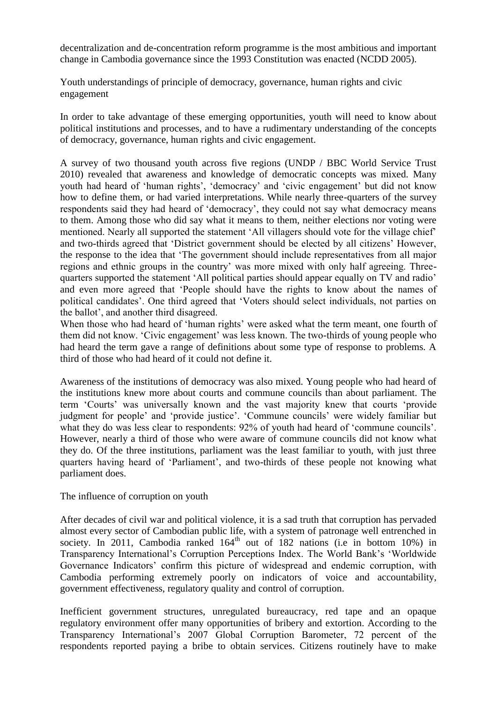decentralization and de-concentration reform programme is the most ambitious and important change in Cambodia governance since the 1993 Constitution was enacted (NCDD 2005).

Youth understandings of principle of democracy, governance, human rights and civic engagement

In order to take advantage of these emerging opportunities, youth will need to know about political institutions and processes, and to have a rudimentary understanding of the concepts of democracy, governance, human rights and civic engagement.

A survey of two thousand youth across five regions (UNDP / BBC World Service Trust 2010) revealed that awareness and knowledge of democratic concepts was mixed. Many youth had heard of 'human rights', 'democracy' and 'civic engagement' but did not know how to define them, or had varied interpretations. While nearly three-quarters of the survey respondents said they had heard of 'democracy', they could not say what democracy means to them. Among those who did say what it means to them, neither elections nor voting were mentioned. Nearly all supported the statement 'All villagers should vote for the village chief' and two-thirds agreed that 'District government should be elected by all citizens' However, the response to the idea that 'The government should include representatives from all major regions and ethnic groups in the country' was more mixed with only half agreeing. Threequarters supported the statement 'All political parties should appear equally on TV and radio' and even more agreed that 'People should have the rights to know about the names of political candidates'. One third agreed that 'Voters should select individuals, not parties on the ballot', and another third disagreed.

When those who had heard of 'human rights' were asked what the term meant, one fourth of them did not know. 'Civic engagement' was less known. The two-thirds of young people who had heard the term gave a range of definitions about some type of response to problems. A third of those who had heard of it could not define it.

Awareness of the institutions of democracy was also mixed. Young people who had heard of the institutions knew more about courts and commune councils than about parliament. The term 'Courts' was universally known and the vast majority knew that courts 'provide judgment for people' and 'provide justice'. 'Commune councils' were widely familiar but what they do was less clear to respondents:  $92\%$  of youth had heard of 'commune councils'. However, nearly a third of those who were aware of commune councils did not know what they do. Of the three institutions, parliament was the least familiar to youth, with just three quarters having heard of 'Parliament', and two-thirds of these people not knowing what parliament does.

#### The influence of corruption on youth

After decades of civil war and political violence, it is a sad truth that corruption has pervaded almost every sector of Cambodian public life, with a system of patronage well entrenched in society. In 2011, Cambodia ranked  $164<sup>th</sup>$  out of 182 nations (i.e in bottom 10%) in Transparency International's Corruption Perceptions Index. The World Bank's 'Worldwide Governance Indicators' confirm this picture of widespread and endemic corruption, with Cambodia performing extremely poorly on indicators of voice and accountability, government effectiveness, regulatory quality and control of corruption.

Inefficient government structures, unregulated bureaucracy, red tape and an opaque regulatory environment offer many opportunities of bribery and extortion. According to the Transparency International's 2007 Global Corruption Barometer, 72 percent of the respondents reported paying a bribe to obtain services. Citizens routinely have to make